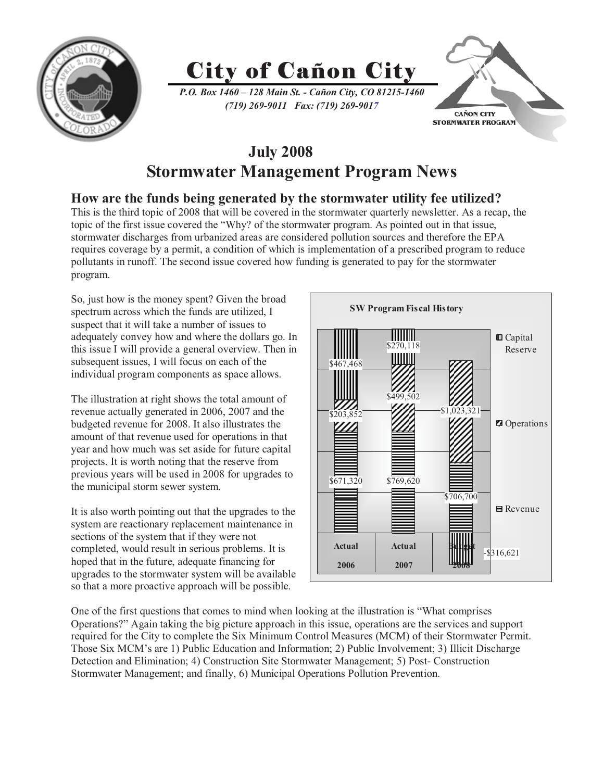

# City of Cañon City

*P.O. Box 1460 – 128 Main St. - Cañon City, CO 81215-1460 (719) 269-9011 Fax: (719) 269-9017*



### **July 2008 Stormwater Management Program News**

### **How are the funds being generated by the stormwater utility fee utilized?**

This is the third topic of 2008 that will be covered in the stormwater quarterly newsletter. As a recap, the topic of the first issue covered the "Why? of the stormwater program. As pointed out in that issue, stormwater discharges from urbanized areas are considered pollution sources and therefore the EPA requires coverage by a permit, a condition of which is implementation of a prescribed program to reduce pollutants in runoff. The second issue covered how funding is generated to pay for the stormwater program.

So, just how is the money spent? Given the broad spectrum across which the funds are utilized, I suspect that it will take a number of issues to adequately convey how and where the dollars go. In this issue I will provide a general overview. Then in subsequent issues, I will focus on each of the individual program components as space allows.

The illustration at right shows the total amount of revenue actually generated in 2006, 2007 and the budgeted revenue for 2008. It also illustrates the amount of that revenue used for operations in that year and how much was set aside for future capital projects. It is worth noting that the reserve from previous years will be used in 2008 for upgrades to the municipal storm sewer system.

It is also worth pointing out that the upgrades to the system are reactionary replacement maintenance in sections of the system that if they were not completed, would result in serious problems. It is hoped that in the future, adequate financing for upgrades to the stormwater system will be available so that a more proactive approach will be possible.



One of the first questions that comes to mind when looking at the illustration is "What comprises Operations?" Again taking the big picture approach in this issue, operations are the services and support required for the City to complete the Six Minimum Control Measures (MCM) of their Stormwater Permit. Those Six MCM's are 1) Public Education and Information; 2) Public Involvement; 3) Illicit Discharge Detection and Elimination; 4) Construction Site Stormwater Management; 5) Post- Construction Stormwater Management; and finally, 6) Municipal Operations Pollution Prevention.